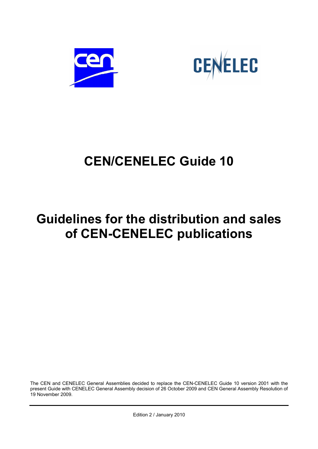



# **CEN/CENELEC Guide 10**

# **Guidelines for the distribution and sales of CEN-CENELEC publications**

The CEN and CENELEC General Assemblies decided to replace the CEN-CENELEC Guide 10 version 2001 with the present Guide with CENELEC General Assembly decision of 26 October 2009 and CEN General Assembly Resolution of 19 November 2009.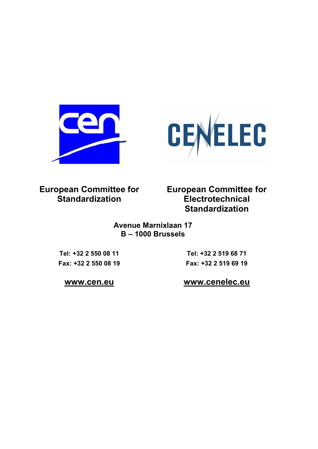



**European Committee for Standardization**

**European Committee for Electrotechnical Standardization**

**Avenue Marnixlaan 17 B – 1000 Brussels**

**Tel: +32 2 550 08 11 Fax: +32 2 550 08 19** 

**Tel: +32 2 519 68 71 Fax: +32 2 519 69 19** 

**www.cen.eu www.cenelec.eu**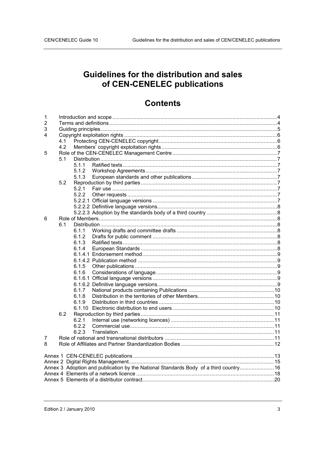# Guidelines for the distribution and sales of CEN-CENELEC publications

# **Contents**

| 1                                                                                     |     |       |  |  |  |  |  |  |
|---------------------------------------------------------------------------------------|-----|-------|--|--|--|--|--|--|
| 2                                                                                     |     |       |  |  |  |  |  |  |
| 3                                                                                     |     |       |  |  |  |  |  |  |
| 4                                                                                     |     |       |  |  |  |  |  |  |
|                                                                                       | 4.1 |       |  |  |  |  |  |  |
|                                                                                       | 4.2 |       |  |  |  |  |  |  |
| 5                                                                                     |     |       |  |  |  |  |  |  |
|                                                                                       | 5.1 |       |  |  |  |  |  |  |
|                                                                                       |     | 5.1.1 |  |  |  |  |  |  |
|                                                                                       |     | 5.1.2 |  |  |  |  |  |  |
|                                                                                       |     | 5.1.3 |  |  |  |  |  |  |
|                                                                                       | 5.2 |       |  |  |  |  |  |  |
|                                                                                       |     | 5.2.1 |  |  |  |  |  |  |
|                                                                                       |     | 5.2.2 |  |  |  |  |  |  |
|                                                                                       |     |       |  |  |  |  |  |  |
|                                                                                       |     |       |  |  |  |  |  |  |
|                                                                                       |     |       |  |  |  |  |  |  |
| 6                                                                                     |     |       |  |  |  |  |  |  |
|                                                                                       | 6.1 |       |  |  |  |  |  |  |
|                                                                                       |     | 6.1.1 |  |  |  |  |  |  |
|                                                                                       |     | 6.1.2 |  |  |  |  |  |  |
|                                                                                       |     | 6.1.3 |  |  |  |  |  |  |
|                                                                                       |     | 6.1.4 |  |  |  |  |  |  |
|                                                                                       |     |       |  |  |  |  |  |  |
|                                                                                       |     |       |  |  |  |  |  |  |
|                                                                                       |     | 6.1.5 |  |  |  |  |  |  |
|                                                                                       |     | 6.1.6 |  |  |  |  |  |  |
|                                                                                       |     |       |  |  |  |  |  |  |
|                                                                                       |     |       |  |  |  |  |  |  |
|                                                                                       |     | 6.1.7 |  |  |  |  |  |  |
|                                                                                       |     | 6.1.8 |  |  |  |  |  |  |
|                                                                                       |     | 6.1.9 |  |  |  |  |  |  |
|                                                                                       |     |       |  |  |  |  |  |  |
|                                                                                       | 6.2 |       |  |  |  |  |  |  |
|                                                                                       |     | 6.2.1 |  |  |  |  |  |  |
|                                                                                       |     | 6.2.2 |  |  |  |  |  |  |
|                                                                                       |     | 6.2.3 |  |  |  |  |  |  |
| 7                                                                                     |     |       |  |  |  |  |  |  |
| 8                                                                                     |     |       |  |  |  |  |  |  |
|                                                                                       |     |       |  |  |  |  |  |  |
|                                                                                       |     |       |  |  |  |  |  |  |
|                                                                                       |     |       |  |  |  |  |  |  |
| Annex 3 Adoption and publication by the National Standards Body of a third country 16 |     |       |  |  |  |  |  |  |
|                                                                                       |     |       |  |  |  |  |  |  |
|                                                                                       |     |       |  |  |  |  |  |  |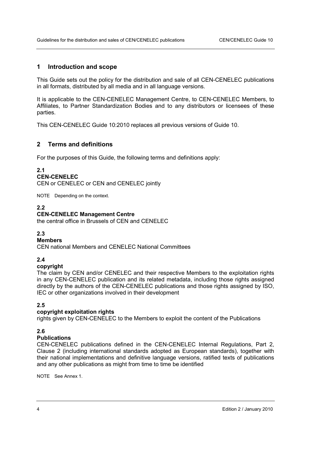# **1 Introduction and scope**

This Guide sets out the policy for the distribution and sale of all CEN-CENELEC publications in all formats, distributed by all media and in all language versions.

It is applicable to the CEN-CENELEC Management Centre, to CEN-CENELEC Members, to Affiliates, to Partner Standardization Bodies and to any distributors or licensees of these parties.

This CEN-CENELEC Guide 10:2010 replaces all previous versions of Guide 10.

# **2 Terms and definitions**

For the purposes of this Guide, the following terms and definitions apply:

#### **2.1**

#### **CEN-CENELEC**

CEN or CENELEC or CEN and CENELEC jointly

NOTE Depending on the context.

# **2.2**

# **CEN-CENELEC Management Centre**

the central office in Brussels of CEN and CENELEC

# **2.3**

# **Members**

CEN national Members and CENELEC National Committees

# **2.4**

# **copyright**

The claim by CEN and/or CENELEC and their respective Members to the exploitation rights in any CEN-CENELEC publication and its related metadata, including those rights assigned directly by the authors of the CEN-CENELEC publications and those rights assigned by ISO, IEC or other organizations involved in their development

# **2.5**

# **copyright exploitation rights**

rights given by CEN-CENELEC to the Members to exploit the content of the Publications

# **2.6**

# **Publications**

CEN-CENELEC publications defined in the CEN-CENELEC Internal Regulations, Part 2, Clause 2 (including international standards adopted as European standards), together with their national implementations and definitive language versions, ratified texts of publications and any other publications as might from time to time be identified

NOTE See Annex 1.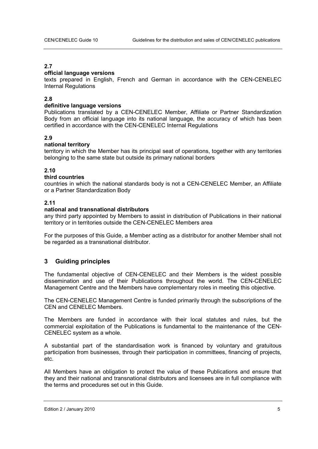# **2.7**

# **official language versions**

texts prepared in English, French and German in accordance with the CEN-CENELEC Internal Regulations

# **2.8**

# **definitive language versions**

Publications translated by a CEN-CENELEC Member, Affiliate or Partner Standardization Body from an official language into its national language, the accuracy of which has been certified in accordance with the CEN-CENELEC Internal Regulations

# **2.9**

# **national territory**

territory in which the Member has its principal seat of operations, together with any territories belonging to the same state but outside its primary national borders

# **2.10**

# **third countries**

countries in which the national standards body is not a CEN-CENELEC Member, an Affiliate or a Partner Standardization Body

# **2.11**

# **national and transnational distributors**

any third party appointed by Members to assist in distribution of Publications in their national territory or in territories outside the CEN-CENELEC Members area

For the purposes of this Guide, a Member acting as a distributor for another Member shall not be regarded as a transnational distributor.

# **3 Guiding principles**

The fundamental objective of CEN-CENELEC and their Members is the widest possible dissemination and use of their Publications throughout the world. The CEN-CENELEC Management Centre and the Members have complementary roles in meeting this objective.

The CEN-CENELEC Management Centre is funded primarily through the subscriptions of the CEN and CENELEC Members.

The Members are funded in accordance with their local statutes and rules, but the commercial exploitation of the Publications is fundamental to the maintenance of the CEN-CENELEC system as a whole.

A substantial part of the standardisation work is financed by voluntary and gratuitous participation from businesses, through their participation in committees, financing of projects, etc.

All Members have an obligation to protect the value of these Publications and ensure that they and their national and transnational distributors and licensees are in full compliance with the terms and procedures set out in this Guide.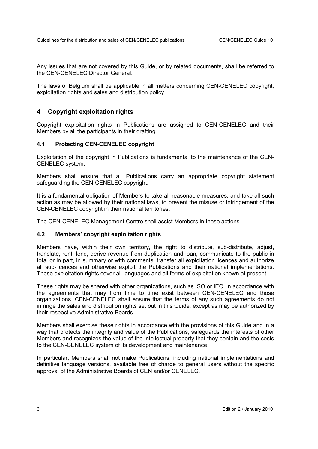Any issues that are not covered by this Guide, or by related documents, shall be referred to the CEN-CENELEC Director General.

The laws of Belgium shall be applicable in all matters concerning CEN-CENELEC copyright, exploitation rights and sales and distribution policy.

# **4 Copyright exploitation rights**

Copyright exploitation rights in Publications are assigned to CEN-CENELEC and their Members by all the participants in their drafting.

# **4.1 Protecting CEN-CENELEC copyright**

Exploitation of the copyright in Publications is fundamental to the maintenance of the CEN-CENELEC system.

Members shall ensure that all Publications carry an appropriate copyright statement safeguarding the CEN-CENELEC copyright.

It is a fundamental obligation of Members to take all reasonable measures, and take all such action as may be allowed by their national laws, to prevent the misuse or infringement of the CEN-CENELEC copyright in their national territories.

The CEN-CENELEC Management Centre shall assist Members in these actions.

# **4.2 Members' copyright exploitation rights**

Members have, within their own territory, the right to distribute, sub-distribute, adjust, translate, rent, lend, derive revenue from duplication and loan, communicate to the public in total or in part, in summary or with comments, transfer all exploitation licences and authorize all sub-licences and otherwise exploit the Publications and their national implementations. These exploitation rights cover all languages and all forms of exploitation known at present.

These rights may be shared with other organizations, such as ISO or IEC, in accordance with the agreements that may from time to time exist between CEN-CENELEC and those organizations. CEN-CENELEC shall ensure that the terms of any such agreements do not infringe the sales and distribution rights set out in this Guide, except as may be authorized by their respective Administrative Boards.

Members shall exercise these rights in accordance with the provisions of this Guide and in a way that protects the integrity and value of the Publications, safeguards the interests of other Members and recognizes the value of the intellectual property that they contain and the costs to the CEN-CENELEC system of its development and maintenance.

In particular, Members shall not make Publications, including national implementations and definitive language versions, available free of charge to general users without the specific approval of the Administrative Boards of CEN and/or CENELEC.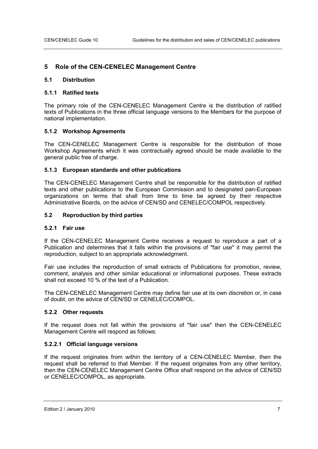# **5 Role of the CEN-CENELEC Management Centre**

#### **5.1 Distribution**

#### **5.1.1 Ratified texts**

The primary role of the CEN-CENELEC Management Centre is the distribution of ratified texts of Publications in the three official language versions to the Members for the purpose of national implementation.

# **5.1.2 Workshop Agreements**

The CEN-CENELEC Management Centre is responsible for the distribution of those Workshop Agreements which it was contractually agreed should be made available to the general public free of charge.

#### **5.1.3 European standards and other publications**

The CEN-CENELEC Management Centre shall be responsible for the distribution of ratified texts and other publications to the European Commission and to designated pan-European organizations on terms that shall from time to time be agreed by their respective Administrative Boards, on the advice of CEN/SD and CENELEC/COMPOL respectively.

#### **5.2 Reproduction by third parties**

# **5.2.1 Fair use**

If the CEN-CENELEC Management Centre receives a request to reproduce a part of a Publication and determines that it falls within the provisions of "fair use" it may permit the reproduction, subject to an appropriate acknowledgment.

Fair use includes the reproduction of small extracts of Publications for promotion, review, comment, analysis and other similar educational or informational purposes. These extracts shall not exceed 10 % of the text of a Publication.

The CEN-CENELEC Management Centre may define fair use at its own discretion or, in case of doubt, on the advice of CEN/SD or CENELEC/COMPOL.

# **5.2.2 Other requests**

If the request does not fall within the provisions of "fair use" then the CEN-CENELEC Management Centre will respond as follows:

# **5.2.2.1 Official language versions**

If the request originates from within the territory of a CEN-CENELEC Member, then the request shall be referred to that Member. If the request originates from any other territory, then the CEN-CENELEC Management Centre Office shall respond on the advice of CEN/SD or CENELEC/COMPOL, as appropriate.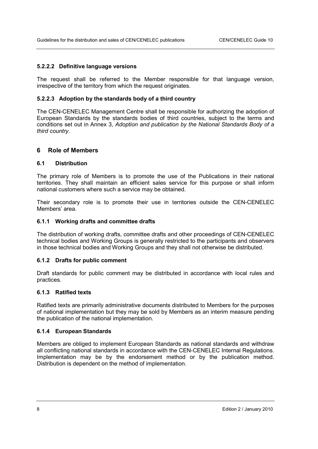# **5.2.2.2 Definitive language versions**

The request shall be referred to the Member responsible for that language version, irrespective of the territory from which the request originates.

# **5.2.2.3 Adoption by the standards body of a third country**

The CEN-CENELEC Management Centre shall be responsible for authorizing the adoption of European Standards by the standards bodies of third countries, subject to the terms and conditions set out in Annex 3, *Adoption and publication by the National Standards Body of a third country*.

# **6 Role of Members**

# **6.1 Distribution**

The primary role of Members is to promote the use of the Publications in their national territories. They shall maintain an efficient sales service for this purpose or shall inform national customers where such a service may be obtained.

Their secondary role is to promote their use in territories outside the CEN-CENELEC Members' area.

# **6.1.1 Working drafts and committee drafts**

The distribution of working drafts, committee drafts and other proceedings of CEN-CENELEC technical bodies and Working Groups is generally restricted to the participants and observers in those technical bodies and Working Groups and they shall not otherwise be distributed.

# **6.1.2 Drafts for public comment**

Draft standards for public comment may be distributed in accordance with local rules and practices.

# **6.1.3 Ratified texts**

Ratified texts are primarily administrative documents distributed to Members for the purposes of national implementation but they may be sold by Members as an interim measure pending the publication of the national implementation.

# **6.1.4 European Standards**

Members are obliged to implement European Standards as national standards and withdraw all conflicting national standards in accordance with the CEN-CENELEC Internal Regulations. Implementation may be by the endorsement method or by the publication method. Distribution is dependent on the method of implementation.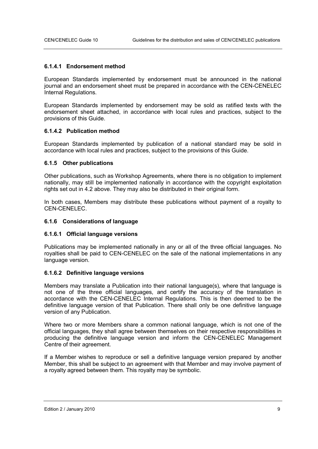#### **6.1.4.1 Endorsement method**

European Standards implemented by endorsement must be announced in the national journal and an endorsement sheet must be prepared in accordance with the CEN-CENELEC Internal Regulations.

European Standards implemented by endorsement may be sold as ratified texts with the endorsement sheet attached, in accordance with local rules and practices, subject to the provisions of this Guide.

# **6.1.4.2 Publication method**

European Standards implemented by publication of a national standard may be sold in accordance with local rules and practices, subject to the provisions of this Guide.

#### **6.1.5 Other publications**

Other publications, such as Workshop Agreements, where there is no obligation to implement nationally, may still be implemented nationally in accordance with the copyright exploitation rights set out in 4.2 above. They may also be distributed in their original form.

In both cases, Members may distribute these publications without payment of a royalty to CEN-CENELEC.

#### **6.1.6 Considerations of language**

#### **6.1.6.1 Official language versions**

Publications may be implemented nationally in any or all of the three official languages. No royalties shall be paid to CEN-CENELEC on the sale of the national implementations in any language version.

# **6.1.6.2 Definitive language versions**

Members may translate a Publication into their national language(s), where that language is not one of the three official languages, and certify the accuracy of the translation in accordance with the CEN-CENELEC Internal Regulations. This is then deemed to be the definitive language version of that Publication. There shall only be one definitive language version of any Publication.

Where two or more Members share a common national language, which is not one of the official languages, they shall agree between themselves on their respective responsibilities in producing the definitive language version and inform the CEN-CENELEC Management Centre of their agreement.

If a Member wishes to reproduce or sell a definitive language version prepared by another Member, this shall be subject to an agreement with that Member and may involve payment of a royalty agreed between them. This royalty may be symbolic.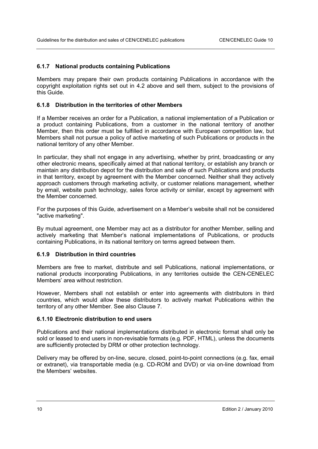# **6.1.7 National products containing Publications**

Members may prepare their own products containing Publications in accordance with the copyright exploitation rights set out in 4.2 above and sell them, subject to the provisions of this Guide.

# **6.1.8 Distribution in the territories of other Members**

If a Member receives an order for a Publication, a national implementation of a Publication or a product containing Publications, from a customer in the national territory of another Member, then this order must be fulfilled in accordance with European competition law, but Members shall not pursue a policy of active marketing of such Publications or products in the national territory of any other Member.

In particular, they shall not engage in any advertising, whether by print, broadcasting or any other electronic means, specifically aimed at that national territory, or establish any branch or maintain any distribution depot for the distribution and sale of such Publications and products in that territory, except by agreement with the Member concerned. Neither shall they actively approach customers through marketing activity, or customer relations management, whether by email, website push technology, sales force activity or similar, except by agreement with the Member concerned.

For the purposes of this Guide, advertisement on a Member's website shall not be considered "active marketing".

By mutual agreement, one Member may act as a distributor for another Member, selling and actively marketing that Member's national implementations of Publications, or products containing Publications, in its national territory on terms agreed between them.

# **6.1.9 Distribution in third countries**

Members are free to market, distribute and sell Publications, national implementations, or national products incorporating Publications, in any territories outside the CEN-CENELEC Members' area without restriction.

However, Members shall not establish or enter into agreements with distributors in third countries, which would allow these distributors to actively market Publications within the territory of any other Member. See also Clause 7.

# **6.1.10 Electronic distribution to end users**

Publications and their national implementations distributed in electronic format shall only be sold or leased to end users in non-revisable formats (e.g. PDF, HTML), unless the documents are sufficiently protected by DRM or other protection technology.

Delivery may be offered by on-line, secure, closed, point-to-point connections (e.g. fax, email or extranet), via transportable media (e.g. CD-ROM and DVD) or via on-line download from the Members' websites.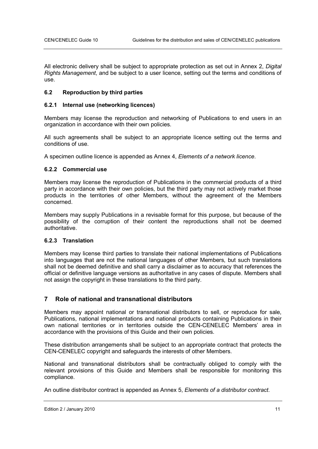All electronic delivery shall be subject to appropriate protection as set out in Annex 2, *Digital Rights Management*, and be subject to a user licence, setting out the terms and conditions of use.

# **6.2 Reproduction by third parties**

# **6.2.1 Internal use (networking licences)**

Members may license the reproduction and networking of Publications to end users in an organization in accordance with their own policies.

All such agreements shall be subject to an appropriate licence setting out the terms and conditions of use.

A specimen outline licence is appended as Annex 4, *Elements of a network licence*.

# **6.2.2 Commercial use**

Members may license the reproduction of Publications in the commercial products of a third party in accordance with their own policies, but the third party may not actively market those products in the territories of other Members, without the agreement of the Members concerned.

Members may supply Publications in a revisable format for this purpose, but because of the possibility of the corruption of their content the reproductions shall not be deemed authoritative.

# **6.2.3 Translation**

Members may license third parties to translate their national implementations of Publications into languages that are not the national languages of other Members, but such translations shall not be deemed definitive and shall carry a disclaimer as to accuracy that references the official or definitive language versions as authoritative in any cases of dispute. Members shall not assign the copyright in these translations to the third party.

# **7 Role of national and transnational distributors**

Members may appoint national or transnational distributors to sell, or reproduce for sale, Publications, national implementations and national products containing Publications in their own national territories or in territories outside the CEN-CENELEC Members' area in accordance with the provisions of this Guide and their own policies.

These distribution arrangements shall be subject to an appropriate contract that protects the CEN-CENELEC copyright and safeguards the interests of other Members.

National and transnational distributors shall be contractually obliged to comply with the relevant provisions of this Guide and Members shall be responsible for monitoring this compliance.

An outline distributor contract is appended as Annex 5, *Elements of a distributor contract*.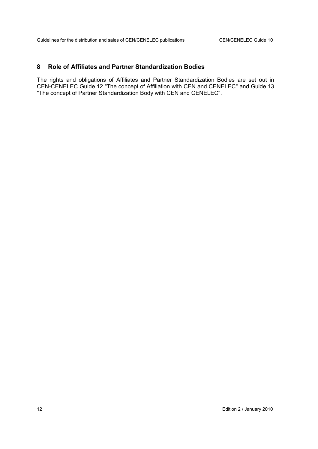# **8 Role of Affiliates and Partner Standardization Bodies**

The rights and obligations of Affiliates and Partner Standardization Bodies are set out in CEN-CENELEC Guide 12 "The concept of Affiliation with CEN and CENELEC" and Guide 13 "The concept of Partner Standardization Body with CEN and CENELEC".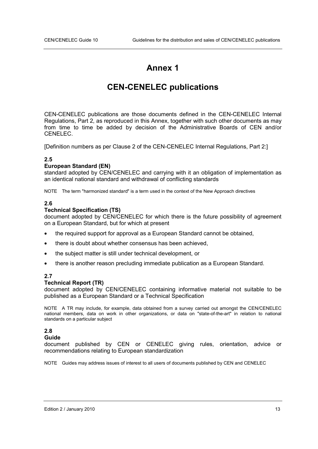# **Annex 1**

# **CEN-CENELEC publications**

CEN-CENELEC publications are those documents defined in the CEN-CENELEC Internal Regulations, Part 2, as reproduced in this Annex, together with such other documents as may from time to time be added by decision of the Administrative Boards of CEN and/or CENELEC.

[Definition numbers as per Clause 2 of the CEN-CENELEC Internal Regulations, Part 2:]

# **2.5**

# **European Standard (EN)**

standard adopted by CEN/CENELEC and carrying with it an obligation of implementation as an identical national standard and withdrawal of conflicting standards

NOTE The term "harmonized standard" is a term used in the context of the New Approach directives

# **2.6**

# **Technical Specification (TS)**

document adopted by CEN/CENELEC for which there is the future possibility of agreement on a European Standard, but for which at present

- the required support for approval as a European Standard cannot be obtained,
- there is doubt about whether consensus has been achieved,
- the subject matter is still under technical development, or
- there is another reason precluding immediate publication as a European Standard.

# **2.7**

# **Technical Report (TR)**

document adopted by CEN/CENELEC containing informative material not suitable to be published as a European Standard or a Technical Specification

NOTE A TR may include, for example, data obtained from a survey carried out amongst the CEN/CENELEC national members, data on work in other organizations, or data on "state-of-the-art" in relation to national standards on a particular subject

# **2.8**

# **Guide**

document published by CEN or CENELEC giving rules, orientation, advice or recommendations relating to European standardization

NOTE Guides may address issues of interest to all users of documents published by CEN and CENELEC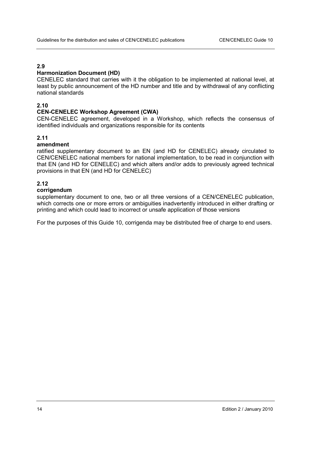# **2.9**

# **Harmonization Document (HD)**

CENELEC standard that carries with it the obligation to be implemented at national level, at least by public announcement of the HD number and title and by withdrawal of any conflicting national standards

# **2.10**

#### **CEN-CENELEC Workshop Agreement (CWA)**

CEN-CENELEC agreement, developed in a Workshop, which reflects the consensus of identified individuals and organizations responsible for its contents

# **2.11**

# **amendment**

ratified supplementary document to an EN (and HD for CENELEC) already circulated to CEN/CENELEC national members for national implementation, to be read in conjunction with that EN (and HD for CENELEC) and which alters and/or adds to previously agreed technical provisions in that EN (and HD for CENELEC)

# **2.12**

#### **corrigendum**

supplementary document to one, two or all three versions of a CEN/CENELEC publication, which corrects one or more errors or ambiguities inadvertently introduced in either drafting or printing and which could lead to incorrect or unsafe application of those versions

For the purposes of this Guide 10, corrigenda may be distributed free of charge to end users.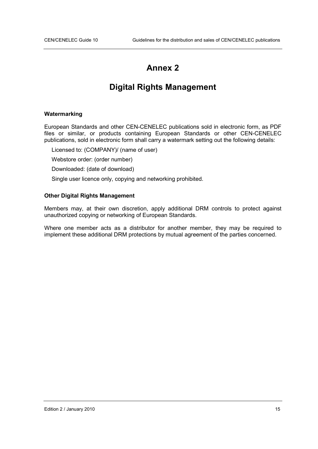# **Annex 2**

# **Digital Rights Management**

# **Watermarking**

European Standards and other CEN-CENELEC publications sold in electronic form, as PDF files or similar, or products containing European Standards or other CEN-CENELEC publications, sold in electronic form shall carry a watermark setting out the following details:

Licensed to: (COMPANY)/ (name of user)

Webstore order: (order number)

Downloaded: (date of download)

Single user licence only, copying and networking prohibited.

# **Other Digital Rights Management**

Members may, at their own discretion, apply additional DRM controls to protect against unauthorized copying or networking of European Standards.

Where one member acts as a distributor for another member, they may be required to implement these additional DRM protections by mutual agreement of the parties concerned.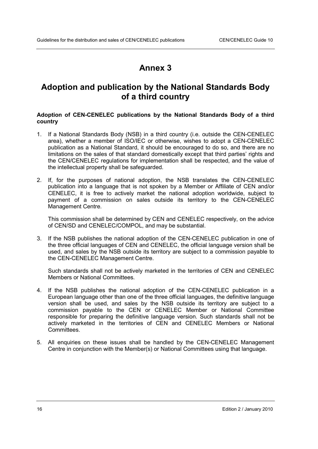# **Annex 3**

# **Adoption and publication by the National Standards Body of a third country**

# **Adoption of CEN-CENELEC publications by the National Standards Body of a third country**

- 1. If a National Standards Body (NSB) in a third country (i.e. outside the CEN-CENELEC area), whether a member of ISO/IEC or otherwise, wishes to adopt a CEN-CENELEC publication as a National Standard, it should be encouraged to do so, and there are no limitations on the sales of that standard domestically except that third parties' rights and the CEN/CENELEC regulations for implementation shall be respected, and the value of the intellectual property shall be safeguarded.
- 2. If, for the purposes of national adoption, the NSB translates the CEN-CENELEC publication into a language that is not spoken by a Member or Affiliate of CEN and/or CENELEC, it is free to actively market the national adoption worldwide, subject to payment of a commission on sales outside its territory to the CEN-CENELEC Management Centre.

This commission shall be determined by CEN and CENELEC respectively, on the advice of CEN/SD and CENELEC/COMPOL, and may be substantial.

3. If the NSB publishes the national adoption of the CEN-CENELEC publication in one of the three official languages of CEN and CENELEC, the official language version shall be used, and sales by the NSB outside its territory are subject to a commission payable to the CEN-CENELEC Management Centre.

Such standards shall not be actively marketed in the territories of CEN and CENELEC Members or National Committees.

- 4. If the NSB publishes the national adoption of the CEN-CENELEC publication in a European language other than one of the three official languages, the definitive language version shall be used, and sales by the NSB outside its territory are subject to a commission payable to the CEN or CENELEC Member or National Committee responsible for preparing the definitive language version. Such standards shall not be actively marketed in the territories of CEN and CENELEC Members or National Committees.
- 5. All enquiries on these issues shall be handled by the CEN-CENELEC Management Centre in conjunction with the Member(s) or National Committees using that language.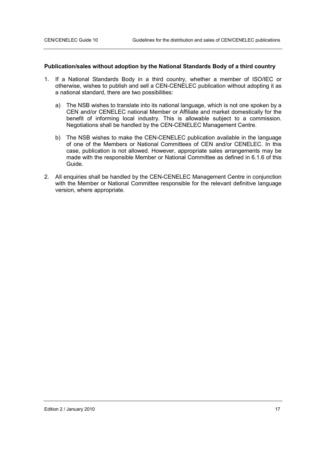#### **Publication/sales without adoption by the National Standards Body of a third country**

- 1. If a National Standards Body in a third country, whether a member of ISO/IEC or otherwise, wishes to publish and sell a CEN-CENELEC publication without adopting it as a national standard, there are two possibilities:
	- a) The NSB wishes to translate into its national language, which is not one spoken by a CEN and/or CENELEC national Member or Affiliate and market domestically for the benefit of informing local industry. This is allowable subject to a commission. Negotiations shall be handled by the CEN-CENELEC Management Centre.
	- b) The NSB wishes to make the CEN-CENELEC publication available in the language of one of the Members or National Committees of CEN and/or CENELEC. In this case, publication is not allowed. However, appropriate sales arrangements may be made with the responsible Member or National Committee as defined in 6.1.6 of this Guide.
- 2. All enquiries shall be handled by the CEN-CENELEC Management Centre in conjunction with the Member or National Committee responsible for the relevant definitive language version, where appropriate.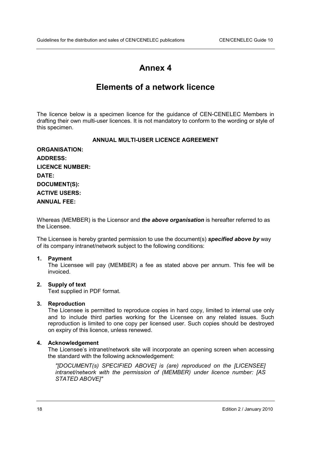# **Annex 4**

# **Elements of a network licence**

The licence below is a specimen licence for the guidance of CEN-CENELEC Members in drafting their own multi-user licences. It is not mandatory to conform to the wording or style of this specimen.

# **ANNUAL MULTI-USER LICENCE AGREEMENT**

| <b>ORGANISATION:</b>   |
|------------------------|
| <b>ADDRESS:</b>        |
| <b>LICENCE NUMBER:</b> |
| <b>DATE:</b>           |
| <b>DOCUMENT(S):</b>    |
| <b>ACTIVE USERS:</b>   |
| <b>ANNUAL FEE:</b>     |

Whereas (MEMBER) is the Licensor and *the above organisation* is hereafter referred to as the Licensee.

The Licensee is hereby granted permission to use the document(s) *specified above by* way of its company intranet/network subject to the following conditions:

#### **1. Payment**

The Licensee will pay (MEMBER) a fee as stated above per annum. This fee will be invoiced.

# **2. Supply of text**

Text supplied in PDF format.

#### **3. Reproduction**

The Licensee is permitted to reproduce copies in hard copy, limited to internal use only and to include third parties working for the Licensee on any related issues. Such reproduction is limited to one copy per licensed user. Such copies should be destroyed on expiry of this licence, unless renewed.

#### **4. Acknowledgement**

The Licensee's intranet/network site will incorporate an opening screen when accessing the standard with the following acknowledgement:

*"[DOCUMENT(s) SPECIFIED ABOVE] is (are) reproduced on the [LICENSEE] intranet/network with the permission of (MEMBER) under licence number: [AS STATED ABOVE]"*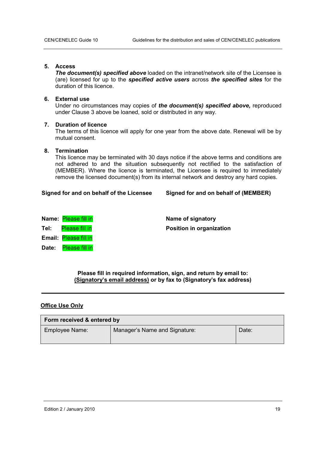# **5. Access**

**The document(s) specified above** loaded on the intranet/network site of the Licensee is (are) licensed for up to the *specified active users* across *the specified sites* for the duration of this licence.

# **6. External use**

Under no circumstances may copies of *the document(s) specified above,* reproduced under Clause 3 above be loaned, sold or distributed in any way.

# **7. Duration of licence**

The terms of this licence will apply for one year from the above date. Renewal will be by mutual consent.

# **8. Termination**

This licence may be terminated with 30 days notice if the above terms and conditions are not adhered to and the situation subsequently not rectified to the satisfaction of (MEMBER). Where the licence is terminated, the Licensee is required to immediately remove the licensed document(s) from its internal network and destroy any hard copies.

# **Signed for and on behalf of the Licensee Signed for and on behalf of (MEMBER)**

|       | Name: Please fill in  | Name of signatory               |
|-------|-----------------------|---------------------------------|
| Tel:  | Please fill in        | <b>Position in organization</b> |
|       | Email: Please fill in |                                 |
| Date: | Please fill in        |                                 |

**Please fill in required information, sign, and return by email to: (Signatory's email address) or by fax to (Signatory's fax address)** 

# **Office Use Only**

| Form received & entered by |                               |       |  |  |  |  |  |
|----------------------------|-------------------------------|-------|--|--|--|--|--|
| Employee Name:             | Manager's Name and Signature: | Date: |  |  |  |  |  |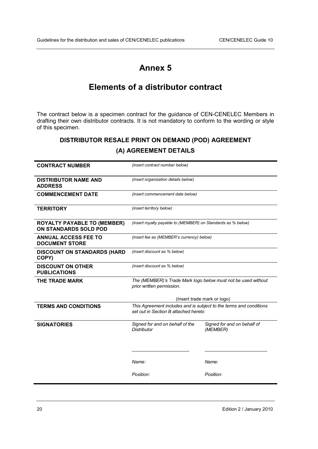# **Annex 5**

# **Elements of a distributor contract**

The contract below is a specimen contract for the guidance of CEN-CENELEC Members in drafting their own distributor contracts. It is not mandatory to conform to the wording or style of this specimen.

# **DISTRIBUTOR RESALE PRINT ON DEMAND (POD) AGREEMENT (A) AGREEMENT DETAILS**

| <b>CONTRACT NUMBER</b>                                      | (insert contract number below)                                                                             |                                         |  |
|-------------------------------------------------------------|------------------------------------------------------------------------------------------------------------|-----------------------------------------|--|
| <b>DISTRIBUTOR NAME AND</b><br><b>ADDRESS</b>               | (insert organization details below)                                                                        |                                         |  |
| <b>COMMENCEMENT DATE</b>                                    | (insert commencement date below)                                                                           |                                         |  |
| <b>TERRITORY</b>                                            | (insert territory below)                                                                                   |                                         |  |
| <b>ROYALTY PAYABLE TO (MEMBER)</b><br>ON STANDARDS SOLD POD | (insert royalty payable to (MEMBER) on Standards as % below)                                               |                                         |  |
| <b>ANNUAL ACCESS FEE TO</b><br><b>DOCUMENT STORE</b>        | (insert fee as (MEMBER's currency) below)                                                                  |                                         |  |
| <b>DISCOUNT ON STANDARDS (HARD</b><br>COPY)                 | (insert discount as % below)                                                                               |                                         |  |
| <b>DISCOUNT ON OTHER</b><br><b>PUBLICATIONS</b>             | (insert discount as % below)                                                                               |                                         |  |
| THE TRADE MARK                                              | The (MEMBER)'s Trade Mark logo below must not be used without<br>prior written permission.                 |                                         |  |
|                                                             | (Insert trade mark or logo)                                                                                |                                         |  |
| <b>TERMS AND CONDITIONS</b>                                 | This Agreement includes and is subject to the terms and conditions<br>set out in Section B attached hereto |                                         |  |
| <b>SIGNATORIES</b>                                          | Signed for and on behalf of the<br>Distributor                                                             | Signed for and on behalf of<br>(MEMBER) |  |
|                                                             |                                                                                                            |                                         |  |
|                                                             | Name:                                                                                                      | Name:                                   |  |
|                                                             | Position:                                                                                                  | Position:                               |  |
|                                                             |                                                                                                            |                                         |  |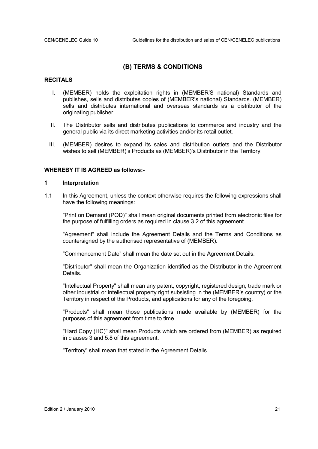# **(B) TERMS & CONDITIONS**

# **RECITALS**

- I. (MEMBER) holds the exploitation rights in (MEMBER'S national) Standards and publishes, sells and distributes copies of (MEMBER's national) Standards. (MEMBER) sells and distributes international and overseas standards as a distributor of the originating publisher.
- II. The Distributor sells and distributes publications to commerce and industry and the general public via its direct marketing activities and/or its retail outlet.
- III. (MEMBER) desires to expand its sales and distribution outlets and the Distributor wishes to sell (MEMBER)'s Products as (MEMBER)'s Distributor in the Territory.

# **WHEREBY IT IS AGREED as follows:-**

#### **1 Interpretation**

1.1 In this Agreement, unless the context otherwise requires the following expressions shall have the following meanings:

"Print on Demand (POD)" shall mean original documents printed from electronic files for the purpose of fulfilling orders as required in clause 3.2 of this agreement.

"Agreement" shall include the Agreement Details and the Terms and Conditions as countersigned by the authorised representative of (MEMBER).

"Commencement Date" shall mean the date set out in the Agreement Details.

"Distributor" shall mean the Organization identified as the Distributor in the Agreement Details.

"Intellectual Property" shall mean any patent, copyright, registered design, trade mark or other industrial or intellectual property right subsisting in the (MEMBER's country) or the Territory in respect of the Products, and applications for any of the foregoing.

"Products" shall mean those publications made available by (MEMBER) for the purposes of this agreement from time to time.

"Hard Copy (HC)" shall mean Products which are ordered from (MEMBER) as required in clauses 3 and 5.8 of this agreement.

"Territory" shall mean that stated in the Agreement Details.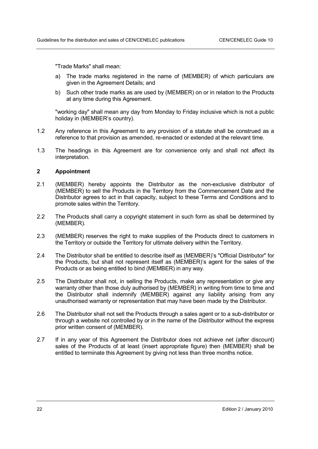"Trade Marks" shall mean:

- a) The trade marks registered in the name of (MEMBER) of which particulars are given in the Agreement Details; and
- b) Such other trade marks as are used by (MEMBER) on or in relation to the Products at any time during this Agreement.

"working day" shall mean any day from Monday to Friday inclusive which is not a public holiday in (MEMBER's country).

- 1.2 Any reference in this Agreement to any provision of a statute shall be construed as a reference to that provision as amended, re-enacted or extended at the relevant time.
- 1.3 The headings in this Agreement are for convenience only and shall not affect its interpretation.

#### **2 Appointment**

- 2.1 (MEMBER) hereby appoints the Distributor as the non-exclusive distributor of (MEMBER) to sell the Products in the Territory from the Commencement Date and the Distributor agrees to act in that capacity, subject to these Terms and Conditions and to promote sales within the Territory.
- 2.2 The Products shall carry a copyright statement in such form as shall be determined by (MEMBER).
- 2.3 (MEMBER) reserves the right to make supplies of the Products direct to customers in the Territory or outside the Territory for ultimate delivery within the Territory.
- 2.4 The Distributor shall be entitled to describe itself as (MEMBER)'s "Official Distributor" for the Products, but shall not represent itself as (MEMBER)'s agent for the sales of the Products or as being entitled to bind (MEMBER) in any way.
- 2.5 The Distributor shall not, in selling the Products, make any representation or give any warranty other than those duly authorised by (MEMBER) in writing from time to time and the Distributor shall indemnify (MEMBER) against any liability arising from any unauthorised warranty or representation that may have been made by the Distributor.
- 2.6 The Distributor shall not sell the Products through a sales agent or to a sub-distributor or through a website not controlled by or in the name of the Distributor without the express prior written consent of (MEMBER).
- 2.7 If in any year of this Agreement the Distributor does not achieve net (after discount) sales of the Products of at least (insert appropriate figure) then (MEMBER) shall be entitled to terminate this Agreement by giving not less than three months notice.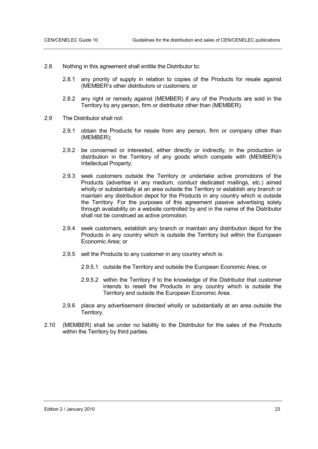- 2.8 Nothing in this agreement shall entitle the Distributor to:
	- 2.8.1 any priority of supply in relation to copies of the Products for resale against (MEMBER's other distributors or customers; or
	- 2.8.2 any right or remedy against (MEMBER) if any of the Products are sold in the Territory by any person, firm or distributor other than (MEMBER).
- 2.9 The Distributor shall not:
	- 2.9.1 obtain the Products for resale from any person, firm or company other than (MEMBER);
	- 2.9.2 be concerned or interested, either directly or indirectly, in the production or distribution in the Territory of any goods which compete with (MEMBER)'s Intellectual Property;
	- 2.9.3 seek customers outside the Territory or undertake active promotions of the Products (advertise in any medium, conduct dedicated mailings, etc.) aimed wholly or substantially at an area outside the Territory or establish any branch or maintain any distribution depot for the Products in any country which is outside the Territory. For the purposes of this agreement passive advertising solely through availability on a website controlled by and in the name of the Distributor shall not be construed as active promotion.
	- 2.9.4 seek customers, establish any branch or maintain any distribution depot for the Products in any country which is outside the Territory but within the European Economic Area; or
	- 2.9.5 sell the Products to any customer in any country which is:
		- 2.9.5.1 outside the Territory and outside the European Economic Area; or
		- 2.9.5.2 within the Territory if to the knowledge of the Distributor that customer intends to resell the Products in any country which is outside the Territory and outside the European Economic Area.
	- 2.9.6 place any advertisement directed wholly or substantially at an area outside the Territory.
- 2.10 (MEMBER) shall be under no liability to the Distributor for the sales of the Products within the Territory by third parties.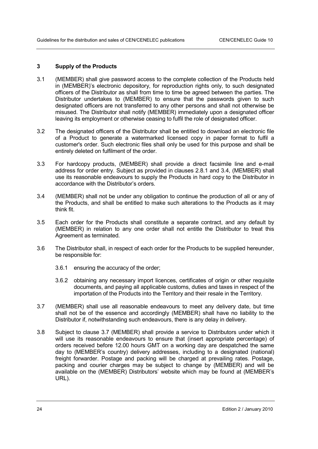# **3 Supply of the Products**

- 3.1 (MEMBER) shall give password access to the complete collection of the Products held in (MEMBER)'s electronic depository, for reproduction rights only, to such designated officers of the Distributor as shall from time to time be agreed between the parties. The Distributor undertakes to (MEMBER) to ensure that the passwords given to such designated officers are not transferred to any other persons and shall not otherwise be misused. The Distributor shall notify (MEMBER) immediately upon a designated officer leaving its employment or otherwise ceasing to fulfil the role of designated officer.
- 3.2 The designated officers of the Distributor shall be entitled to download an electronic file of a Product to generate a watermarked licensed copy in paper format to fulfil a customer's order. Such electronic files shall only be used for this purpose and shall be entirely deleted on fulfilment of the order.
- 3.3 For hardcopy products, (MEMBER) shall provide a direct facsimile line and e-mail address for order entry. Subject as provided in clauses 2.8.1 and 3.4, (MEMBER) shall use its reasonable endeavours to supply the Products in hard copy to the Distributor in accordance with the Distributor's orders.
- 3.4 (MEMBER) shall not be under any obligation to continue the production of all or any of the Products, and shall be entitled to make such alterations to the Products as it may think fit.
- 3.5 Each order for the Products shall constitute a separate contract, and any default by (MEMBER) in relation to any one order shall not entitle the Distributor to treat this Agreement as terminated.
- 3.6 The Distributor shall, in respect of each order for the Products to be supplied hereunder, be responsible for:
	- 3.6.1 ensuring the accuracy of the order;
	- 3.6.2 obtaining any necessary import licences, certificates of origin or other requisite documents, and paying all applicable customs, duties and taxes in respect of the importation of the Products into the Territory and their resale in the Territory.
- 3.7 (MEMBER) shall use all reasonable endeavours to meet any delivery date, but time shall not be of the essence and accordingly (MEMBER) shall have no liability to the Distributor if, notwithstanding such endeavours, there is any delay in delivery.
- 3.8 Subject to clause 3.7 (MEMBER) shall provide a service to Distributors under which it will use its reasonable endeavours to ensure that (insert appropriate percentage) of orders received before 12.00 hours GMT on a working day are despatched the same day to (MEMBER's country) delivery addresses, including to a designated (national) freight forwarder. Postage and packing will be charged at prevailing rates. Postage, packing and courier charges may be subject to change by (MEMBER) and will be available on the (MEMBER) Distributors' website which may be found at (MEMBER's URL).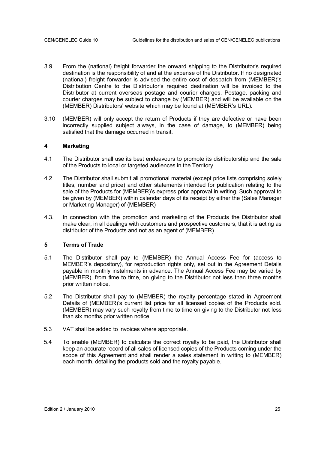- 3.9 From the (national) freight forwarder the onward shipping to the Distributor's required destination is the responsibility of and at the expense of the Distributor. If no designated (national) freight forwarder is advised the entire cost of despatch from (MEMBER)'s Distribution Centre to the Distributor's required destination will be invoiced to the Distributor at current overseas postage and courier charges. Postage, packing and courier charges may be subject to change by (MEMBER) and will be available on the (MEMBER) Distributors' website which may be found at (MEMBER's URL).
- 3.10 (MEMBER) will only accept the return of Products if they are defective or have been incorrectly supplied subject always, in the case of damage, to (MEMBER) being satisfied that the damage occurred in transit.

# **4 Marketing**

- 4.1 The Distributor shall use its best endeavours to promote its distributorship and the sale of the Products to local or targeted audiences in the Territory.
- 4.2 The Distributor shall submit all promotional material (except price lists comprising solely titles, number and price) and other statements intended for publication relating to the sale of the Products for (MEMBER)'s express prior approval in writing. Such approval to be given by (MEMBER) within calendar days of its receipt by either the (Sales Manager or Marketing Manager) of (MEMBER)
- 4.3. In connection with the promotion and marketing of the Products the Distributor shall make clear, in all dealings with customers and prospective customers, that it is acting as distributor of the Products and not as an agent of (MEMBER).

# **5 Terms of Trade**

- 5.1 The Distributor shall pay to (MEMBER) the Annual Access Fee for (access to MEMBER's depository), for reproduction rights only, set out in the Agreement Details payable in monthly instalments in advance. The Annual Access Fee may be varied by (MEMBER), from time to time, on giving to the Distributor not less than three months prior written notice.
- 5.2 The Distributor shall pay to (MEMBER) the royalty percentage stated in Agreement Details of (MEMBER)'s current list price for all licensed copies of the Products sold. (MEMBER) may vary such royalty from time to time on giving to the Distributor not less than six months prior written notice.
- 5.3 VAT shall be added to invoices where appropriate.
- 5.4 To enable (MEMBER) to calculate the correct royalty to be paid, the Distributor shall keep an accurate record of all sales of licensed copies of the Products coming under the scope of this Agreement and shall render a sales statement in writing to (MEMBER) each month, detailing the products sold and the royalty payable.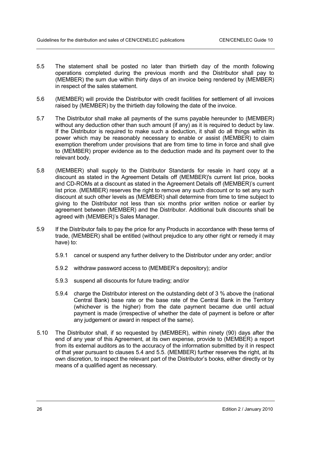- 5.5 The statement shall be posted no later than thirtieth day of the month following operations completed during the previous month and the Distributor shall pay to (MEMBER) the sum due within thirty days of an invoice being rendered by (MEMBER) in respect of the sales statement.
- 5.6 (MEMBER) will provide the Distributor with credit facilities for settlement of all invoices raised by (MEMBER) by the thirtieth day following the date of the invoice.
- 5.7 The Distributor shall make all payments of the sums payable hereunder to (MEMBER) without any deduction other than such amount (if any) as it is required to deduct by law. If the Distributor is required to make such a deduction, it shall do all things within its power which may be reasonably necessary to enable or assist (MEMBER) to claim exemption therefrom under provisions that are from time to time in force and shall give to (MEMBER) proper evidence as to the deduction made and its payment over to the relevant body.
- 5.8 (MEMBER) shall supply to the Distributor Standards for resale in hard copy at a discount as stated in the Agreement Details off (MEMBER)'s current list price, books and CD-ROMs at a discount as stated in the Agreement Details off (MEMBER)'s current list price. (MEMBER) reserves the right to remove any such discount or to set any such discount at such other levels as (MEMBER) shall determine from time to time subject to giving to the Distributor not less than six months prior written notice or earlier by agreement between (MEMBER) and the Distributor. Additional bulk discounts shall be agreed with (MEMBER)'s Sales Manager.
- 5.9 If the Distributor fails to pay the price for any Products in accordance with these terms of trade, (MEMBER) shall be entitled (without prejudice to any other right or remedy it may have) to:
	- 5.9.1 cancel or suspend any further delivery to the Distributor under any order; and/or
	- 5.9.2 withdraw password access to (MEMBER's depository); and/or
	- 5.9.3 suspend all discounts for future trading; and/or
	- 5.9.4 charge the Distributor interest on the outstanding debt of 3 % above the (national Central Bank) base rate or the base rate of the Central Bank in the Territory (whichever is the higher) from the date payment became due until actual payment is made (irrespective of whether the date of payment is before or after any judgement or award in respect of the same).
- 5.10 The Distributor shall, if so requested by (MEMBER), within ninety (90) days after the end of any year of this Agreement, at its own expense, provide to (MEMBER) a report from its external auditors as to the accuracy of the information submitted by it in respect of that year pursuant to clauses 5.4 and 5.5. (MEMBER) further reserves the right, at its own discretion, to inspect the relevant part of the Distributor's books, either directly or by means of a qualified agent as necessary.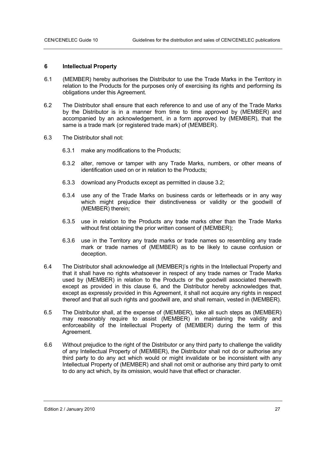#### **6 Intellectual Property**

- 6.1 (MEMBER) hereby authorises the Distributor to use the Trade Marks in the Territory in relation to the Products for the purposes only of exercising its rights and performing its obligations under this Agreement.
- 6.2 The Distributor shall ensure that each reference to and use of any of the Trade Marks by the Distributor is in a manner from time to time approved by (MEMBER) and accompanied by an acknowledgement, in a form approved by (MEMBER), that the same is a trade mark (or registered trade mark) of (MEMBER).
- 6.3 The Distributor shall not:
	- 6.3.1 make any modifications to the Products;
	- 6.3.2 alter, remove or tamper with any Trade Marks, numbers, or other means of identification used on or in relation to the Products;
	- 6.3.3 download any Products except as permitted in clause 3.2;
	- 6.3.4 use any of the Trade Marks on business cards or letterheads or in any way which might prejudice their distinctiveness or validity or the goodwill of (MEMBER) therein;
	- 6.3.5 use in relation to the Products any trade marks other than the Trade Marks without first obtaining the prior written consent of (MEMBER);
	- 6.3.6 use in the Territory any trade marks or trade names so resembling any trade mark or trade names of (MEMBER) as to be likely to cause confusion or deception.
- 6.4 The Distributor shall acknowledge all (MEMBER)'s rights in the Intellectual Property and that it shall have no rights whatsoever in respect of any trade names or Trade Marks used by (MEMBER) in relation to the Products or the goodwill associated therewith except as provided in this clause 6, and the Distributor hereby acknowledges that, except as expressly provided in this Agreement, it shall not acquire any rights in respect thereof and that all such rights and goodwill are, and shall remain, vested in (MEMBER).
- 6.5 The Distributor shall, at the expense of (MEMBER), take all such steps as (MEMBER) may reasonably require to assist (MEMBER) in maintaining the validity and enforceability of the Intellectual Property of (MEMBER) during the term of this Agreement.
- 6.6 Without prejudice to the right of the Distributor or any third party to challenge the validity of any Intellectual Property of (MEMBER), the Distributor shall not do or authorise any third party to do any act which would or might invalidate or be inconsistent with any Intellectual Property of (MEMBER) and shall not omit or authorise any third party to omit to do any act which, by its omission, would have that effect or character.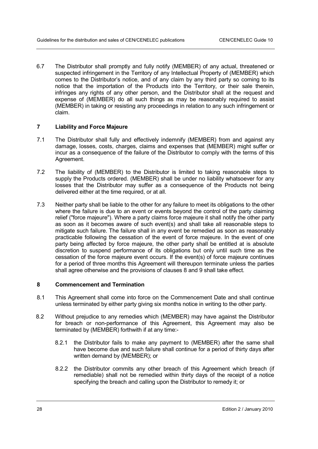6.7 The Distributor shall promptly and fully notify (MEMBER) of any actual, threatened or suspected infringement in the Territory of any Intellectual Property of (MEMBER) which comes to the Distributor's notice, and of any claim by any third party so coming to its notice that the importation of the Products into the Territory, or their sale therein, infringes any rights of any other person, and the Distributor shall at the request and expense of (MEMBER) do all such things as may be reasonably required to assist (MEMBER) in taking or resisting any proceedings in relation to any such infringement or claim.

# **7 Liability and Force Majeure**

- 7.1 The Distributor shall fully and effectively indemnify (MEMBER) from and against any damage, losses, costs, charges, claims and expenses that (MEMBER) might suffer or incur as a consequence of the failure of the Distributor to comply with the terms of this Agreement.
- 7.2 The liability of (MEMBER) to the Distributor is limited to taking reasonable steps to supply the Products ordered. (MEMBER) shall be under no liability whatsoever for any losses that the Distributor may suffer as a consequence of the Products not being delivered either at the time required, or at all.
- 7.3 Neither party shall be liable to the other for any failure to meet its obligations to the other where the failure is due to an event or events beyond the control of the party claiming relief ("force majeure"). Where a party claims force majeure it shall notify the other party as soon as it becomes aware of such event(s) and shall take all reasonable steps to mitigate such failure. The failure shall in any event be remedied as soon as reasonably practicable following the cessation of the event of force majeure. In the event of one party being affected by force majeure, the other party shall be entitled at is absolute discretion to suspend performance of its obligations but only until such time as the cessation of the force majeure event occurs. If the event(s) of force majeure continues for a period of three months this Agreement will thereupon terminate unless the parties shall agree otherwise and the provisions of clauses 8 and 9 shall take effect.

# **8 Commencement and Termination**

- 8.1 This Agreement shall come into force on the Commencement Date and shall continue unless terminated by either party giving six months notice in writing to the other party.
- 8.2 Without prejudice to any remedies which (MEMBER) may have against the Distributor for breach or non-performance of this Agreement, this Agreement may also be terminated by (MEMBER) forthwith if at any time:-
	- 8.2.1 the Distributor fails to make any payment to (MEMBER) after the same shall have become due and such failure shall continue for a period of thirty days after written demand by (MEMBER); or
	- 8.2.2 the Distributor commits any other breach of this Agreement which breach (if remediable) shall not be remedied within thirty days of the receipt of a notice specifying the breach and calling upon the Distributor to remedy it; or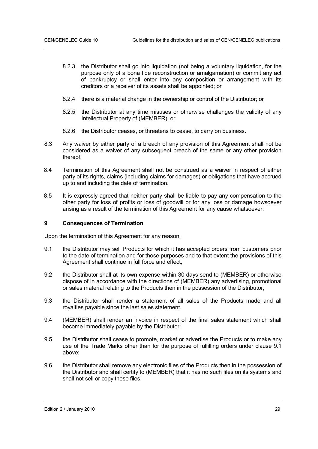- 8.2.3 the Distributor shall go into liquidation (not being a voluntary liquidation, for the purpose only of a bona fide reconstruction or amalgamation) or commit any act of bankruptcy or shall enter into any composition or arrangement with its creditors or a receiver of its assets shall be appointed; or
- 8.2.4 there is a material change in the ownership or control of the Distributor; or
- 8.2.5 the Distributor at any time misuses or otherwise challenges the validity of any Intellectual Property of (MEMBER); or
- 8.2.6 the Distributor ceases, or threatens to cease, to carry on business.
- 8.3 Any waiver by either party of a breach of any provision of this Agreement shall not be considered as a waiver of any subsequent breach of the same or any other provision thereof.
- 8.4 Termination of this Agreement shall not be construed as a waiver in respect of either party of its rights, claims (including claims for damages) or obligations that have accrued up to and including the date of termination.
- 8.5 It is expressly agreed that neither party shall be liable to pay any compensation to the other party for loss of profits or loss of goodwill or for any loss or damage howsoever arising as a result of the termination of this Agreement for any cause whatsoever.

#### **9 Consequences of Termination**

Upon the termination of this Agreement for any reason:

- 9.1 the Distributor may sell Products for which it has accepted orders from customers prior to the date of termination and for those purposes and to that extent the provisions of this Agreement shall continue in full force and effect;
- 9.2 the Distributor shall at its own expense within 30 days send to (MEMBER) or otherwise dispose of in accordance with the directions of (MEMBER) any advertising, promotional or sales material relating to the Products then in the possession of the Distributor;
- 9.3 the Distributor shall render a statement of all sales of the Products made and all royalties payable since the last sales statement.
- 9.4 (MEMBER) shall render an invoice in respect of the final sales statement which shall become immediately payable by the Distributor;
- 9.5 the Distributor shall cease to promote, market or advertise the Products or to make any use of the Trade Marks other than for the purpose of fulfilling orders under clause 9.1 above;
- 9.6 the Distributor shall remove any electronic files of the Products then in the possession of the Distributor and shall certify to (MEMBER) that it has no such files on its systems and shall not sell or copy these files.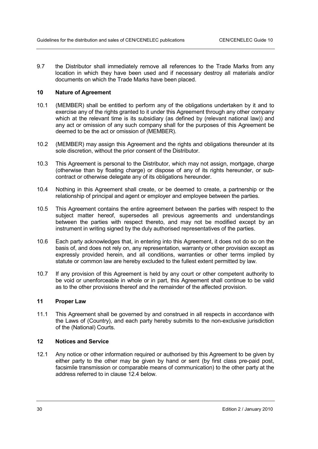9.7 the Distributor shall immediately remove all references to the Trade Marks from any location in which they have been used and if necessary destroy all materials and/or documents on which the Trade Marks have been placed.

# **10 Nature of Agreement**

- 10.1 (MEMBER) shall be entitled to perform any of the obligations undertaken by it and to exercise any of the rights granted to it under this Agreement through any other company which at the relevant time is its subsidiary (as defined by (relevant national law)) and any act or omission of any such company shall for the purposes of this Agreement be deemed to be the act or omission of (MEMBER).
- 10.2 (MEMBER) may assign this Agreement and the rights and obligations thereunder at its sole discretion, without the prior consent of the Distributor.
- 10.3 This Agreement is personal to the Distributor, which may not assign, mortgage, charge (otherwise than by floating charge) or dispose of any of its rights hereunder, or subcontract or otherwise delegate any of its obligations hereunder.
- 10.4 Nothing in this Agreement shall create, or be deemed to create, a partnership or the relationship of principal and agent or employer and employee between the parties.
- 10.5 This Agreement contains the entire agreement between the parties with respect to the subject matter hereof, supersedes all previous agreements and understandings between the parties with respect thereto, and may not be modified except by an instrument in writing signed by the duly authorised representatives of the parties.
- 10.6 Each party acknowledges that, in entering into this Agreement, it does not do so on the basis of, and does not rely on, any representation, warranty or other provision except as expressly provided herein, and all conditions, warranties or other terms implied by statute or common law are hereby excluded to the fullest extent permitted by law.
- 10.7 If any provision of this Agreement is held by any court or other competent authority to be void or unenforceable in whole or in part, this Agreement shall continue to be valid as to the other provisions thereof and the remainder of the affected provision.

# **11 Proper Law**

11.1 This Agreement shall be governed by and construed in all respects in accordance with the Laws of (Country), and each party hereby submits to the non-exclusive jurisdiction of the (National) Courts.

# **12 Notices and Service**

12.1 Any notice or other information required or authorised by this Agreement to be given by either party to the other may be given by hand or sent (by first class pre-paid post, facsimile transmission or comparable means of communication) to the other party at the address referred to in clause 12.4 below.